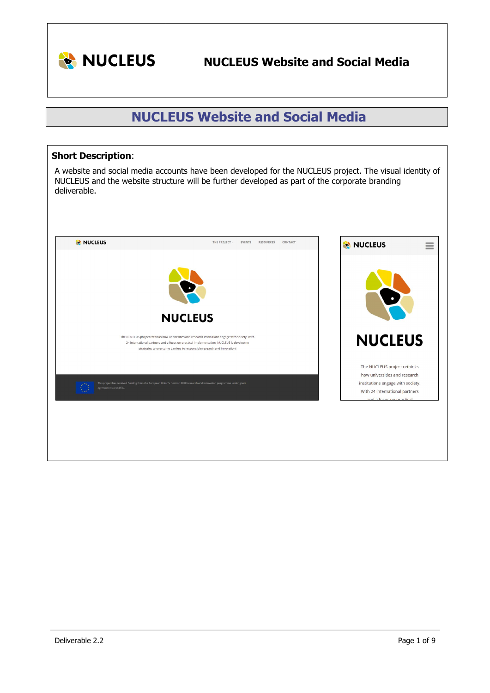

# **NUCLEUS Website and Social Media**

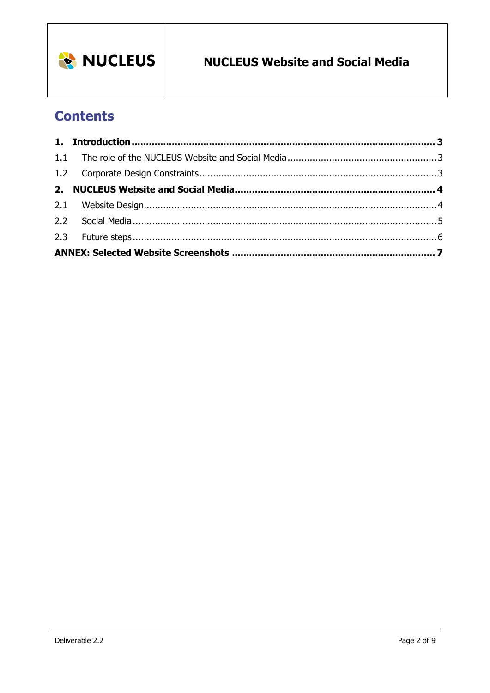

# **Contents**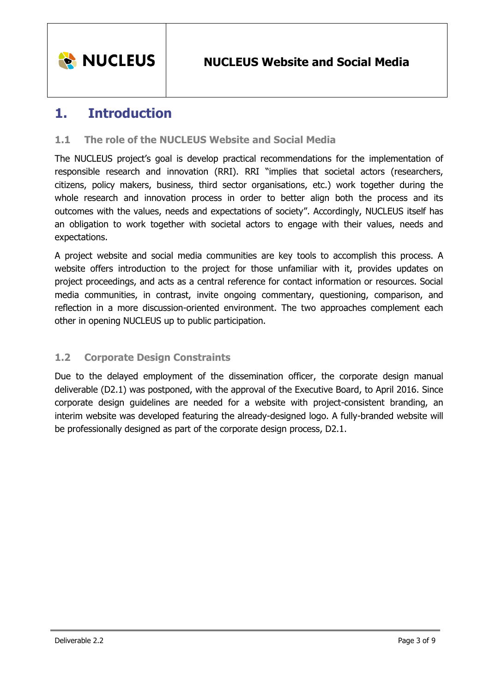

## <span id="page-2-0"></span>**1. Introduction**

## <span id="page-2-1"></span>**1.1 The role of the NUCLEUS Website and Social Media**

The NUCLEUS project's goal is develop practical recommendations for the implementation of responsible research and innovation (RRI). RRI "implies that societal actors (researchers, citizens, policy makers, business, third sector organisations, etc.) work together during the whole research and innovation process in order to better align both the process and its outcomes with the values, needs and expectations of society". Accordingly, NUCLEUS itself has an obligation to work together with societal actors to engage with their values, needs and expectations.

A project website and social media communities are key tools to accomplish this process. A website offers introduction to the project for those unfamiliar with it, provides updates on project proceedings, and acts as a central reference for contact information or resources. Social media communities, in contrast, invite ongoing commentary, questioning, comparison, and reflection in a more discussion-oriented environment. The two approaches complement each other in opening NUCLEUS up to public participation.

## <span id="page-2-2"></span>**1.2 Corporate Design Constraints**

Due to the delayed employment of the dissemination officer, the corporate design manual deliverable (D2.1) was postponed, with the approval of the Executive Board, to April 2016. Since corporate design guidelines are needed for a website with project-consistent branding, an interim website was developed featuring the already-designed logo. A fully-branded website will be professionally designed as part of the corporate design process, D2.1.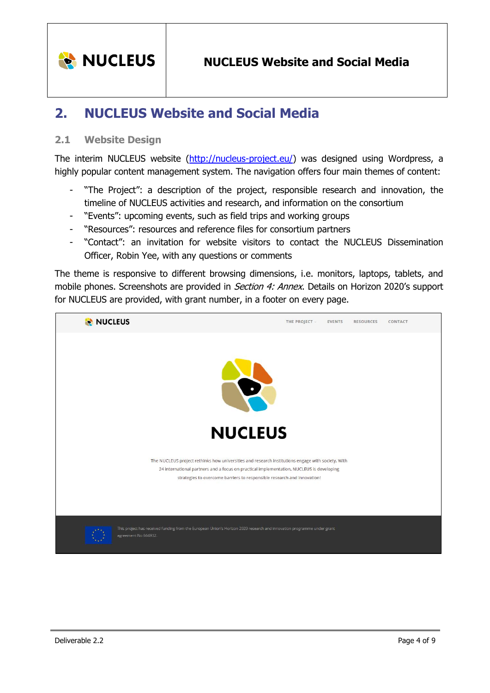

# <span id="page-3-0"></span>**2. NUCLEUS Website and Social Media**

### <span id="page-3-1"></span>**2.1 Website Design**

The interim NUCLEUS website [\(http://nucleus-project.eu/\)](http://nucleus-project.eu/) was designed using Wordpress, a highly popular content management system. The navigation offers four main themes of content:

- "The Project": a description of the project, responsible research and innovation, the timeline of NUCLEUS activities and research, and information on the consortium
- "Events": upcoming events, such as field trips and working groups
- "Resources": resources and reference files for consortium partners
- "Contact": an invitation for website visitors to contact the NUCLEUS Dissemination Officer, Robin Yee, with any questions or comments

The theme is responsive to different browsing dimensions, i.e. monitors, laptops, tablets, and mobile phones. Screenshots are provided in *Section 4: Annex*. Details on Horizon 2020's support for NUCLEUS are provided, with grant number, in a footer on every page.

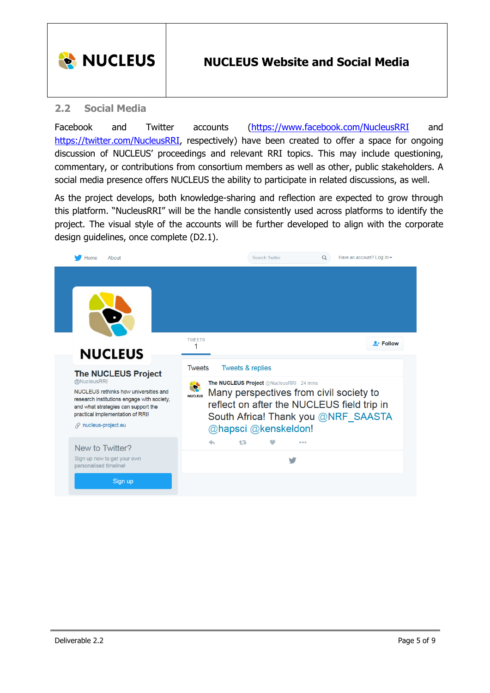

## **NUCLEUS Website and Social Media**

### <span id="page-4-0"></span>**2.2 Social Media**

Facebook and Twitter accounts [\(https://www.facebook.com/NucleusRRI](https://www.facebook.com/NucleusRRI) and [https://twitter.com/NucleusRRI,](https://twitter.com/NucleusRRI) respectively) have been created to offer a space for ongoing discussion of NUCLEUS' proceedings and relevant RRI topics. This may include questioning, commentary, or contributions from consortium members as well as other, public stakeholders. A social media presence offers NUCLEUS the ability to participate in related discussions, as well.

As the project develops, both knowledge-sharing and reflection are expected to grow through this platform. "NucleusRRI" will be the handle consistently used across platforms to identify the project. The visual style of the accounts will be further developed to align with the corporate design guidelines, once complete (D2.1).

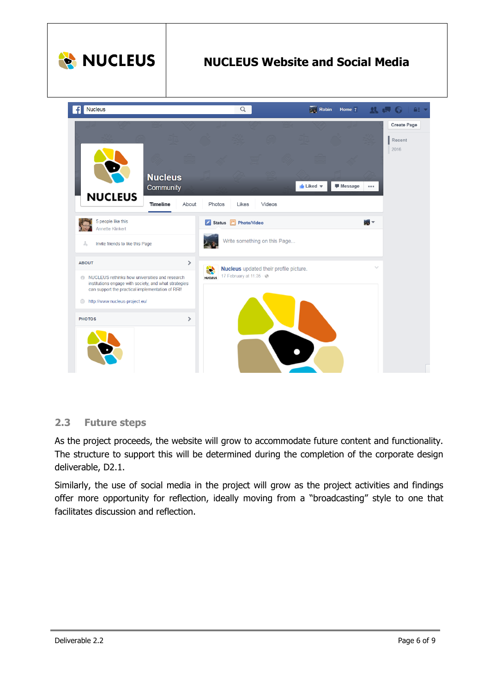

## <span id="page-5-0"></span>**2.3 Future steps**

As the project proceeds, the website will grow to accommodate future content and functionality. The structure to support this will be determined during the completion of the corporate design deliverable, D2.1.

Similarly, the use of social media in the project will grow as the project activities and findings offer more opportunity for reflection, ideally moving from a "broadcasting" style to one that facilitates discussion and reflection.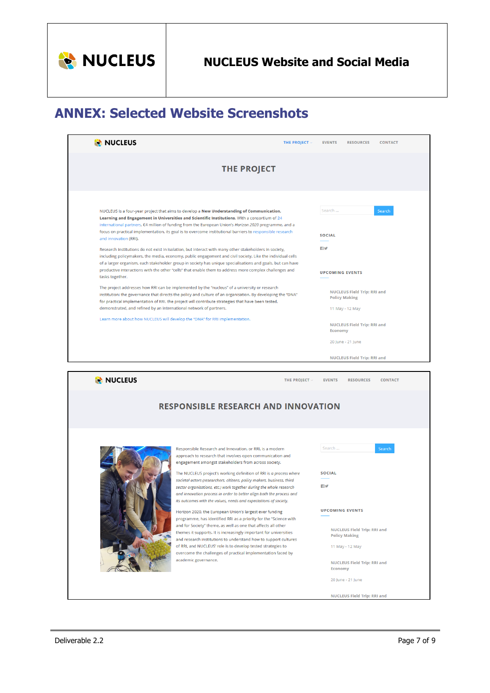

# <span id="page-6-0"></span>**ANNEX: Selected Website Screenshots**

| NUCLEUS                                                                                                                                                                                                                                                                                                                                                                                                                                                                                                                                                                                                                                                                                                                                                                                                                                                                                                                                                                                                                                                                                                                                                                                                                                                                                                                                                                                | THE PROJECT V                                                                                                                                                                                                                                                                                                                                                                                                                                                                                                                                                                                                                                                                                                                                                                                                                                                                                                                                             | <b>EVENTS</b><br><b>RESOURCES</b><br><b>CONTACT</b>                                                                                                                                                                                                            |  |  |
|----------------------------------------------------------------------------------------------------------------------------------------------------------------------------------------------------------------------------------------------------------------------------------------------------------------------------------------------------------------------------------------------------------------------------------------------------------------------------------------------------------------------------------------------------------------------------------------------------------------------------------------------------------------------------------------------------------------------------------------------------------------------------------------------------------------------------------------------------------------------------------------------------------------------------------------------------------------------------------------------------------------------------------------------------------------------------------------------------------------------------------------------------------------------------------------------------------------------------------------------------------------------------------------------------------------------------------------------------------------------------------------|-----------------------------------------------------------------------------------------------------------------------------------------------------------------------------------------------------------------------------------------------------------------------------------------------------------------------------------------------------------------------------------------------------------------------------------------------------------------------------------------------------------------------------------------------------------------------------------------------------------------------------------------------------------------------------------------------------------------------------------------------------------------------------------------------------------------------------------------------------------------------------------------------------------------------------------------------------------|----------------------------------------------------------------------------------------------------------------------------------------------------------------------------------------------------------------------------------------------------------------|--|--|
|                                                                                                                                                                                                                                                                                                                                                                                                                                                                                                                                                                                                                                                                                                                                                                                                                                                                                                                                                                                                                                                                                                                                                                                                                                                                                                                                                                                        | <b>THE PROJECT</b>                                                                                                                                                                                                                                                                                                                                                                                                                                                                                                                                                                                                                                                                                                                                                                                                                                                                                                                                        |                                                                                                                                                                                                                                                                |  |  |
| NUCLEUS is a four-year project that aims to develop a New Understanding of Communication,<br>Learning and Engagement in Universities and Scientific Institutions. With a consortium of 24<br>international partners, €4 million of funding from the European Union's Horizon 2020 programme, and a<br>focus on practical implementation, its goal is to overcome institutional barriers to responsible research<br>and innovation (RRI).<br>Research institutions do not exist in isolation, but interact with many other stakeholders in society,<br>including policymakers, the media, economy, public engagement and civil society. Like the individual cells<br>of a larger organism, each stakeholder group in society has unique specialisations and goals, but can have<br>productive interactions with the other "cells" that enable them to address more complex challenges and<br>tasks together.<br>The project addresses how RRI can be implemented by the "nucleus" of a university or research<br>institution; the governance that directs the policy and culture of an organisation. By developing the "DNA"<br>for practical implementation of RRI, the project will contribute strategies that have been tested,<br>demonstrated, and refined by an international network of partners.<br>Learn more about how NUCLEUS will develop the "DNA" for RRI implementation. |                                                                                                                                                                                                                                                                                                                                                                                                                                                                                                                                                                                                                                                                                                                                                                                                                                                                                                                                                           | Search<br>Search<br><b>SOCIAL</b><br>目り<br><b>UPCOMING EVENTS</b><br><b>NUCLEUS Field Trip: RRI and</b><br><b>Policy Making</b><br>11 May - 12 May<br><b>NUCLEUS Field Trip: RRI and</b><br>Economy<br>20 June - 21 June<br><b>NUCLEUS Field Trip: RRI and</b> |  |  |
| NUCLEUS                                                                                                                                                                                                                                                                                                                                                                                                                                                                                                                                                                                                                                                                                                                                                                                                                                                                                                                                                                                                                                                                                                                                                                                                                                                                                                                                                                                | THE PROJECT ~                                                                                                                                                                                                                                                                                                                                                                                                                                                                                                                                                                                                                                                                                                                                                                                                                                                                                                                                             | <b>RESOURCES</b><br><b>CONTACT</b><br><b>EVENTS</b>                                                                                                                                                                                                            |  |  |
|                                                                                                                                                                                                                                                                                                                                                                                                                                                                                                                                                                                                                                                                                                                                                                                                                                                                                                                                                                                                                                                                                                                                                                                                                                                                                                                                                                                        | <b>RESPONSIBLE RESEARCH AND INNOVATION</b>                                                                                                                                                                                                                                                                                                                                                                                                                                                                                                                                                                                                                                                                                                                                                                                                                                                                                                                |                                                                                                                                                                                                                                                                |  |  |
|                                                                                                                                                                                                                                                                                                                                                                                                                                                                                                                                                                                                                                                                                                                                                                                                                                                                                                                                                                                                                                                                                                                                                                                                                                                                                                                                                                                        | Responsible Research and Innovation, or RRI, is a modern<br>approach to research that involves open communication and<br>engagement amongst stakeholders from across society.<br>The NUCLEUS project's working definition of RRI is a process where<br>societal actors (researchers, citizens, policy makers, business, third<br>sector organisations, etc.) work together during the whole research<br>and innovation process in order to better align both the process and<br>its outcomes with the values, needs and expectations of society.<br>Horizon 2020, the European Union's largest ever funding<br>programme, has identified RRI as a priority for the "Science with<br>and for Society" theme, as well as one that affects all other<br>themes it supports. It is increasingly important for universities<br>and research institutions to understand how to support cultures<br>of RRI, and NUCLEUS' role is to develop tested strategies to | Search<br>Search<br><b>SOCIAL</b><br>日立<br><b>UPCOMING EVENTS</b><br><b>NUCLEUS Field Trip: RRI and</b><br><b>Policy Making</b><br>11 May - 12 May                                                                                                             |  |  |
|                                                                                                                                                                                                                                                                                                                                                                                                                                                                                                                                                                                                                                                                                                                                                                                                                                                                                                                                                                                                                                                                                                                                                                                                                                                                                                                                                                                        | overcome the challenges of practical implementation faced by<br>academic governance.                                                                                                                                                                                                                                                                                                                                                                                                                                                                                                                                                                                                                                                                                                                                                                                                                                                                      | <b>NUCLEUS Field Trip: RRI and</b><br><b>Economy</b>                                                                                                                                                                                                           |  |  |

NUCLEUS Field Trip: RRI and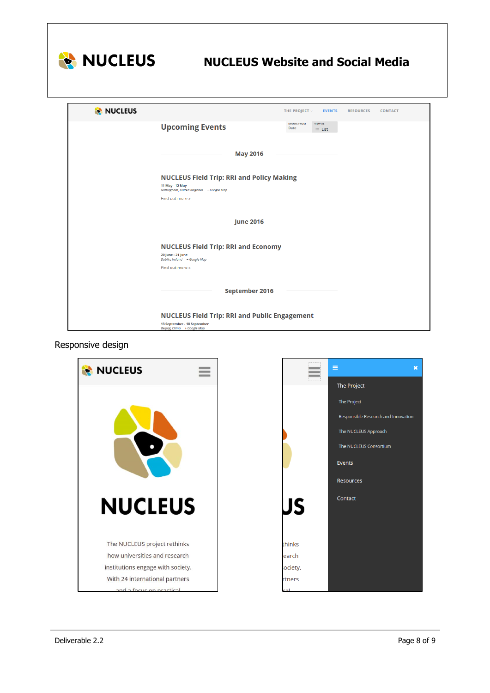

## **NUCLEUS Website and Social Media**

| NUCLEUS                                                         |                                                            | THE PROJECT ~              | <b>EVENTS</b>  | <b>RESOURCES</b> | <b>CONTACT</b> |
|-----------------------------------------------------------------|------------------------------------------------------------|----------------------------|----------------|------------------|----------------|
|                                                                 | <b>Upcoming Events</b>                                     | <b>EVENTS FROM</b><br>Date | <b>VIEW AS</b> |                  |                |
|                                                                 |                                                            |                            | $\equiv$ List  |                  |                |
|                                                                 |                                                            |                            |                |                  |                |
|                                                                 | <b>May 2016</b>                                            |                            |                |                  |                |
|                                                                 |                                                            |                            |                |                  |                |
| <b>NUCLEUS Field Trip: RRI and Policy Making</b>                |                                                            |                            |                |                  |                |
|                                                                 | 11 May - 12 May<br>Nottingham, United Kingdom + Google Map |                            |                |                  |                |
|                                                                 | Find out more »                                            |                            |                |                  |                |
|                                                                 |                                                            |                            |                |                  |                |
|                                                                 | <b>June 2016</b>                                           |                            |                |                  |                |
|                                                                 |                                                            |                            |                |                  |                |
|                                                                 |                                                            |                            |                |                  |                |
| <b>NUCLEUS Field Trip: RRI and Economy</b><br>20 June - 21 June |                                                            |                            |                |                  |                |
|                                                                 | Dublin, Ireland + Google Map                               |                            |                |                  |                |
|                                                                 | Find out more »                                            |                            |                |                  |                |
|                                                                 |                                                            |                            |                |                  |                |
|                                                                 | <b>September 2016</b>                                      |                            |                |                  |                |
|                                                                 |                                                            |                            |                |                  |                |
|                                                                 | <b>NUCLEUS Field Trip: RRI and Public Engagement</b>       |                            |                |                  |                |
|                                                                 | 13 September - 18 September<br>Beijing, China + Google Map |                            |                |                  |                |

### Responsive design